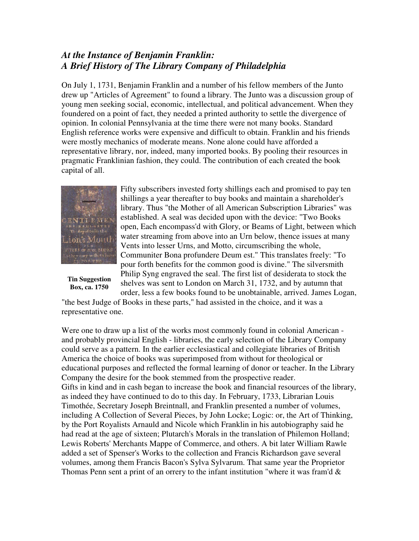## *At the Instance of Benjamin Franklin: A Brief History of The Library Company of Philadelphia*

On July 1, 1731, Benjamin Franklin and a number of his fellow members of the Junto drew up "Articles of Agreement" to found a library. The Junto was a discussion group of young men seeking social, economic, intellectual, and political advancement. When they foundered on a point of fact, they needed a printed authority to settle the divergence of opinion. In colonial Pennsylvania at the time there were not many books. Standard English reference works were expensive and difficult to obtain. Franklin and his friends were mostly mechanics of moderate means. None alone could have afforded a representative library, nor, indeed, many imported books. By pooling their resources in pragmatic Franklinian fashion, they could. The contribution of each created the book capital of all.



**Tin Suggestion Box, ca. 1750**

Fifty subscribers invested forty shillings each and promised to pay ten shillings a year thereafter to buy books and maintain a shareholder's library. Thus "the Mother of all American Subscription Libraries" was established. A seal was decided upon with the device: "Two Books open, Each encompass'd with Glory, or Beams of Light, between which water streaming from above into an Urn below, thence issues at many Vents into lesser Urns, and Motto, circumscribing the whole, Communiter Bona profundere Deum est." This translates freely: "To pour forth benefits for the common good is divine." The silversmith Philip Syng engraved the seal. The first list of desiderata to stock the shelves was sent to London on March 31, 1732, and by autumn that order, less a few books found to be unobtainable, arrived. James Logan,

"the best Judge of Books in these parts," had assisted in the choice, and it was a representative one.

Were one to draw up a list of the works most commonly found in colonial American and probably provincial English - libraries, the early selection of the Library Company could serve as a pattern. In the earlier ecclesiastical and collegiate libraries of British America the choice of books was superimposed from without for theological or educational purposes and reflected the formal learning of donor or teacher. In the Library Company the desire for the book stemmed from the prospective reader. Gifts in kind and in cash began to increase the book and financial resources of the library, as indeed they have continued to do to this day. In February, 1733, Librarian Louis Timothée, Secretary Joseph Breintnall, and Franklin presented a number of volumes, including A Collection of Several Pieces, by John Locke; Logic: or, the Art of Thinking, by the Port Royalists Arnauld and Nicole which Franklin in his autobiography said he had read at the age of sixteen; Plutarch's Morals in the translation of Philemon Holland; Lewis Roberts' Merchants Mappe of Commerce, and others. A bit later William Rawle added a set of Spenser's Works to the collection and Francis Richardson gave several volumes, among them Francis Bacon's Sylva Sylvarum. That same year the Proprietor Thomas Penn sent a print of an orrery to the infant institution "where it was fram'd  $\&$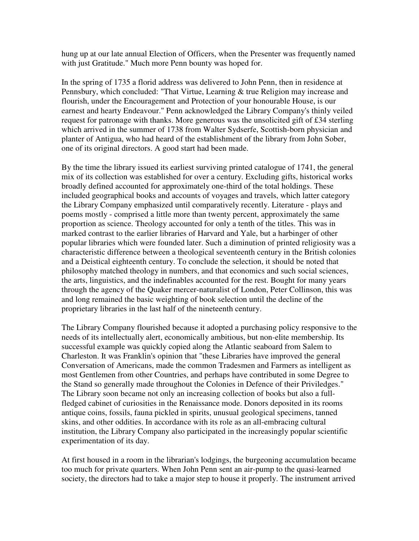hung up at our late annual Election of Officers, when the Presenter was frequently named with just Gratitude." Much more Penn bounty was hoped for.

In the spring of 1735 a florid address was delivered to John Penn, then in residence at Pennsbury, which concluded: "That Virtue, Learning & true Religion may increase and flourish, under the Encouragement and Protection of your honourable House, is our earnest and hearty Endeavour." Penn acknowledged the Library Company's thinly veiled request for patronage with thanks. More generous was the unsolicited gift of £34 sterling which arrived in the summer of 1738 from Walter Sydserfe, Scottish-born physician and planter of Antigua, who had heard of the establishment of the library from John Sober, one of its original directors. A good start had been made.

By the time the library issued its earliest surviving printed catalogue of 1741, the general mix of its collection was established for over a century. Excluding gifts, historical works broadly defined accounted for approximately one-third of the total holdings. These included geographical books and accounts of voyages and travels, which latter category the Library Company emphasized until comparatively recently. Literature - plays and poems mostly - comprised a little more than twenty percent, approximately the same proportion as science. Theology accounted for only a tenth of the titles. This was in marked contrast to the earlier libraries of Harvard and Yale, but a harbinger of other popular libraries which were founded later. Such a diminution of printed religiosity was a characteristic difference between a theological seventeenth century in the British colonies and a Deistical eighteenth century. To conclude the selection, it should be noted that philosophy matched theology in numbers, and that economics and such social sciences, the arts, linguistics, and the indefinables accounted for the rest. Bought for many years through the agency of the Quaker mercer-naturalist of London, Peter Collinson, this was and long remained the basic weighting of book selection until the decline of the proprietary libraries in the last half of the nineteenth century.

The Library Company flourished because it adopted a purchasing policy responsive to the needs of its intellectually alert, economically ambitious, but non-elite membership. Its successful example was quickly copied along the Atlantic seaboard from Salem to Charleston. It was Franklin's opinion that "these Libraries have improved the general Conversation of Americans, made the common Tradesmen and Farmers as intelligent as most Gentlemen from other Countries, and perhaps have contributed in some Degree to the Stand so generally made throughout the Colonies in Defence of their Priviledges." The Library soon became not only an increasing collection of books but also a fullfledged cabinet of curiosities in the Renaissance mode. Donors deposited in its rooms antique coins, fossils, fauna pickled in spirits, unusual geological specimens, tanned skins, and other oddities. In accordance with its role as an all-embracing cultural institution, the Library Company also participated in the increasingly popular scientific experimentation of its day.

At first housed in a room in the librarian's lodgings, the burgeoning accumulation became too much for private quarters. When John Penn sent an air-pump to the quasi-learned society, the directors had to take a major step to house it properly. The instrument arrived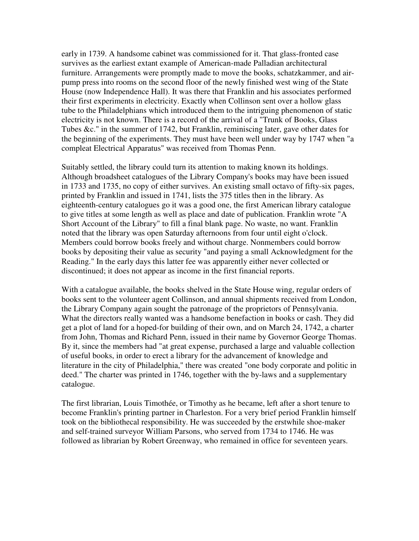early in 1739. A handsome cabinet was commissioned for it. That glass-fronted case survives as the earliest extant example of American-made Palladian architectural furniture. Arrangements were promptly made to move the books, schatzkammer, and airpump press into rooms on the second floor of the newly finished west wing of the State House (now Independence Hall). It was there that Franklin and his associates performed their first experiments in electricity. Exactly when Collinson sent over a hollow glass tube to the Philadelphians which introduced them to the intriguing phenomenon of static electricity is not known. There is a record of the arrival of a "Trunk of Books, Glass Tubes &c." in the summer of 1742, but Franklin, reminiscing later, gave other dates for the beginning of the experiments. They must have been well under way by 1747 when "a compleat Electrical Apparatus" was received from Thomas Penn.

Suitably settled, the library could turn its attention to making known its holdings. Although broadsheet catalogues of the Library Company's books may have been issued in 1733 and 1735, no copy of either survives. An existing small octavo of fifty-six pages, printed by Franklin and issued in 1741, lists the 375 titles then in the library. As eighteenth-century catalogues go it was a good one, the first American library catalogue to give titles at some length as well as place and date of publication. Franklin wrote "A Short Account of the Library" to fill a final blank page. No waste, no want. Franklin noted that the library was open Saturday afternoons from four until eight o'clock. Members could borrow books freely and without charge. Nonmembers could borrow books by depositing their value as security "and paying a small Acknowledgment for the Reading." In the early days this latter fee was apparently either never collected or discontinued; it does not appear as income in the first financial reports.

With a catalogue available, the books shelved in the State House wing, regular orders of books sent to the volunteer agent Collinson, and annual shipments received from London, the Library Company again sought the patronage of the proprietors of Pennsylvania. What the directors really wanted was a handsome benefaction in books or cash. They did get a plot of land for a hoped-for building of their own, and on March 24, 1742, a charter from John, Thomas and Richard Penn, issued in their name by Governor George Thomas. By it, since the members had "at great expense, purchased a large and valuable collection of useful books, in order to erect a library for the advancement of knowledge and literature in the city of Philadelphia," there was created "one body corporate and politic in deed." The charter was printed in 1746, together with the by-laws and a supplementary catalogue.

The first librarian, Louis Timothée, or Timothy as he became, left after a short tenure to become Franklin's printing partner in Charleston. For a very brief period Franklin himself took on the bibliothecal responsibility. He was succeeded by the erstwhile shoe-maker and self-trained surveyor William Parsons, who served from 1734 to 1746. He was followed as librarian by Robert Greenway, who remained in office for seventeen years.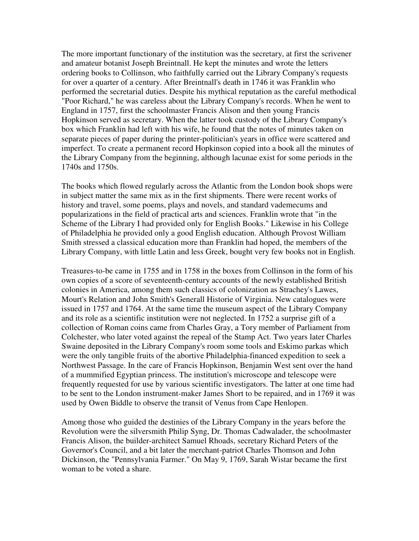The more important functionary of the institution was the secretary, at first the scrivener and amateur botanist Joseph Breintnall. He kept the minutes and wrote the letters ordering books to Collinson, who faithfully carried out the Library Company's requests for over a quarter of a century. After Breintnall's death in 1746 it was Franklin who performed the secretarial duties. Despite his mythical reputation as the careful methodical "Poor Richard," he was careless about the Library Company's records. When he went to England in 1757, first the schoolmaster Francis Alison and then young Francis Hopkinson served as secretary. When the latter took custody of the Library Company's box which Franklin had left with his wife, he found that the notes of minutes taken on separate pieces of paper during the printer-politician's years in office were scattered and imperfect. To create a permanent record Hopkinson copied into a book all the minutes of the Library Company from the beginning, although lacunae exist for some periods in the 1740s and 1750s.

The books which flowed regularly across the Atlantic from the London book shops were in subject matter the same mix as in the first shipments. There were recent works of history and travel, some poems, plays and novels, and standard vademecums and popularizations in the field of practical arts and sciences. Franklin wrote that "in the Scheme of the Library I had provided only for English Books." Likewise in his College of Philadelphia he provided only a good English education. Although Provost William Smith stressed a classical education more than Franklin had hoped, the members of the Library Company, with little Latin and less Greek, bought very few books not in English.

Treasures-to-be came in 1755 and in 1758 in the boxes from Collinson in the form of his own copies of a score of seventeenth-century accounts of the newly established British colonies in America, among them such classics of colonization as Strachey's Lawes, Mourt's Relation and John Smith's Generall Historie of Virginia. New catalogues were issued in 1757 and 1764. At the same time the museum aspect of the Library Company and its role as a scientific institution were not neglected. In 1752 a surprise gift of a collection of Roman coins came from Charles Gray, a Tory member of Parliament from Colchester, who later voted against the repeal of the Stamp Act. Two years later Charles Swaine deposited in the Library Company's room some tools and Eskimo parkas which were the only tangible fruits of the abortive Philadelphia-financed expedition to seek a Northwest Passage. In the care of Francis Hopkinson, Benjamin West sent over the hand of a mummified Egyptian princess. The institution's microscope and telescope were frequently requested for use by various scientific investigators. The latter at one time had to be sent to the London instrument-maker James Short to be repaired, and in 1769 it was used by Owen Biddle to observe the transit of Venus from Cape Henlopen.

Among those who guided the destinies of the Library Company in the years before the Revolution were the silversmith Philip Syng, Dr. Thomas Cadwalader, the schoolmaster Francis Alison, the builder-architect Samuel Rhoads, secretary Richard Peters of the Governor's Council, and a bit later the merchant-patriot Charles Thomson and John Dickinson, the "Pennsylvania Farmer." On May 9, 1769, Sarah Wistar became the first woman to be voted a share.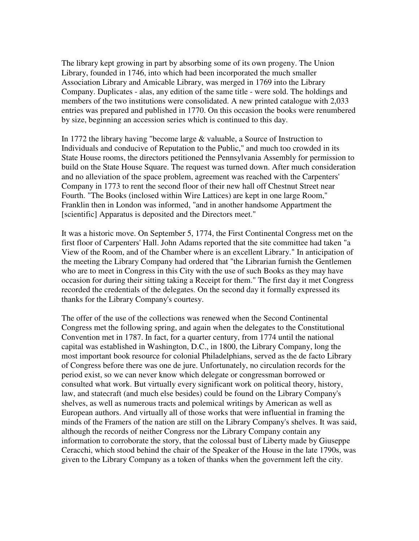The library kept growing in part by absorbing some of its own progeny. The Union Library, founded in 1746, into which had been incorporated the much smaller Association Library and Amicable Library, was merged in 1769 into the Library Company. Duplicates - alas, any edition of the same title - were sold. The holdings and members of the two institutions were consolidated. A new printed catalogue with 2,033 entries was prepared and published in 1770. On this occasion the books were renumbered by size, beginning an accession series which is continued to this day.

In 1772 the library having "become large & valuable, a Source of Instruction to Individuals and conducive of Reputation to the Public," and much too crowded in its State House rooms, the directors petitioned the Pennsylvania Assembly for permission to build on the State House Square. The request was turned down. After much consideration and no alleviation of the space problem, agreement was reached with the Carpenters' Company in 1773 to rent the second floor of their new hall off Chestnut Street near Fourth. "The Books (inclosed within Wire Lattices) are kept in one large Room," Franklin then in London was informed, "and in another handsome Appartment the [scientific] Apparatus is deposited and the Directors meet."

It was a historic move. On September 5, 1774, the First Continental Congress met on the first floor of Carpenters' Hall. John Adams reported that the site committee had taken "a View of the Room, and of the Chamber where is an excellent Library." In anticipation of the meeting the Library Company had ordered that "the Librarian furnish the Gentlemen who are to meet in Congress in this City with the use of such Books as they may have occasion for during their sitting taking a Receipt for them." The first day it met Congress recorded the credentials of the delegates. On the second day it formally expressed its thanks for the Library Company's courtesy.

The offer of the use of the collections was renewed when the Second Continental Congress met the following spring, and again when the delegates to the Constitutional Convention met in 1787. In fact, for a quarter century, from 1774 until the national capital was established in Washington, D.C., in 1800, the Library Company, long the most important book resource for colonial Philadelphians, served as the de facto Library of Congress before there was one de jure. Unfortunately, no circulation records for the period exist, so we can never know which delegate or congressman borrowed or consulted what work. But virtually every significant work on political theory, history, law, and statecraft (and much else besides) could be found on the Library Company's shelves, as well as numerous tracts and polemical writings by American as well as European authors. And virtually all of those works that were influential in framing the minds of the Framers of the nation are still on the Library Company's shelves. It was said, although the records of neither Congress nor the Library Company contain any information to corroborate the story, that the colossal bust of Liberty made by Giuseppe Ceracchi, which stood behind the chair of the Speaker of the House in the late 1790s, was given to the Library Company as a token of thanks when the government left the city.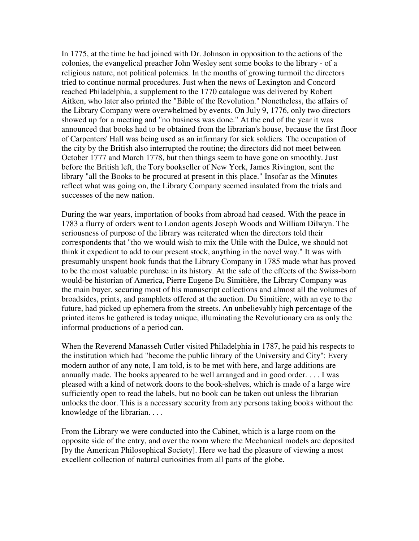In 1775, at the time he had joined with Dr. Johnson in opposition to the actions of the colonies, the evangelical preacher John Wesley sent some books to the library - of a religious nature, not political polemics. In the months of growing turmoil the directors tried to continue normal procedures. Just when the news of Lexington and Concord reached Philadelphia, a supplement to the 1770 catalogue was delivered by Robert Aitken, who later also printed the "Bible of the Revolution." Nonetheless, the affairs of the Library Company were overwhelmed by events. On July 9, 1776, only two directors showed up for a meeting and "no business was done." At the end of the year it was announced that books had to be obtained from the librarian's house, because the first floor of Carpenters' Hall was being used as an infirmary for sick soldiers. The occupation of the city by the British also interrupted the routine; the directors did not meet between October 1777 and March 1778, but then things seem to have gone on smoothly. Just before the British left, the Tory bookseller of New York, James Rivington, sent the library "all the Books to be procured at present in this place." Insofar as the Minutes reflect what was going on, the Library Company seemed insulated from the trials and successes of the new nation.

During the war years, importation of books from abroad had ceased. With the peace in 1783 a flurry of orders went to London agents Joseph Woods and William Dilwyn. The seriousness of purpose of the library was reiterated when the directors told their correspondents that "tho we would wish to mix the Utile with the Dulce, we should not think it expedient to add to our present stock, anything in the novel way." It was with presumably unspent book funds that the Library Company in 1785 made what has proved to be the most valuable purchase in its history. At the sale of the effects of the Swiss-born would-be historian of America, Pierre Eugene Du Simitière, the Library Company was the main buyer, securing most of his manuscript collections and almost all the volumes of broadsides, prints, and pamphlets offered at the auction. Du Simitière, with an eye to the future, had picked up ephemera from the streets. An unbelievably high percentage of the printed items he gathered is today unique, illuminating the Revolutionary era as only the informal productions of a period can.

When the Reverend Manasseh Cutler visited Philadelphia in 1787, he paid his respects to the institution which had "become the public library of the University and City": Every modern author of any note, I am told, is to be met with here, and large additions are annually made. The books appeared to be well arranged and in good order. . . . I was pleased with a kind of network doors to the book-shelves, which is made of a large wire sufficiently open to read the labels, but no book can be taken out unless the librarian unlocks the door. This is a necessary security from any persons taking books without the knowledge of the librarian. . . .

From the Library we were conducted into the Cabinet, which is a large room on the opposite side of the entry, and over the room where the Mechanical models are deposited [by the American Philosophical Society]. Here we had the pleasure of viewing a most excellent collection of natural curiosities from all parts of the globe.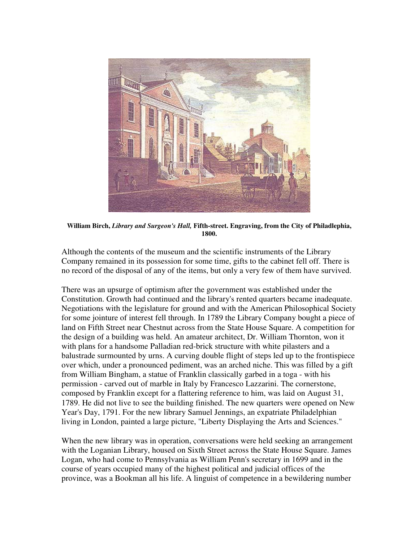

**William Birch,** *Library and Surgeon's Hall,* **Fifth-street. Engraving, from the City of Philadlephia, 1800.**

Although the contents of the museum and the scientific instruments of the Library Company remained in its possession for some time, gifts to the cabinet fell off. There is no record of the disposal of any of the items, but only a very few of them have survived.

There was an upsurge of optimism after the government was established under the Constitution. Growth had continued and the library's rented quarters became inadequate. Negotiations with the legislature for ground and with the American Philosophical Society for some jointure of interest fell through. In 1789 the Library Company bought a piece of land on Fifth Street near Chestnut across from the State House Square. A competition for the design of a building was held. An amateur architect, Dr. William Thornton, won it with plans for a handsome Palladian red-brick structure with white pilasters and a balustrade surmounted by urns. A curving double flight of steps led up to the frontispiece over which, under a pronounced pediment, was an arched niche. This was filled by a gift from William Bingham, a statue of Franklin classically garbed in a toga - with his permission - carved out of marble in Italy by Francesco Lazzarini. The cornerstone, composed by Franklin except for a flattering reference to him, was laid on August 31, 1789. He did not live to see the building finished. The new quarters were opened on New Year's Day, 1791. For the new library Samuel Jennings, an expatriate Philadelphian living in London, painted a large picture, "Liberty Displaying the Arts and Sciences."

When the new library was in operation, conversations were held seeking an arrangement with the Loganian Library, housed on Sixth Street across the State House Square. James Logan, who had come to Pennsylvania as William Penn's secretary in 1699 and in the course of years occupied many of the highest political and judicial offices of the province, was a Bookman all his life. A linguist of competence in a bewildering number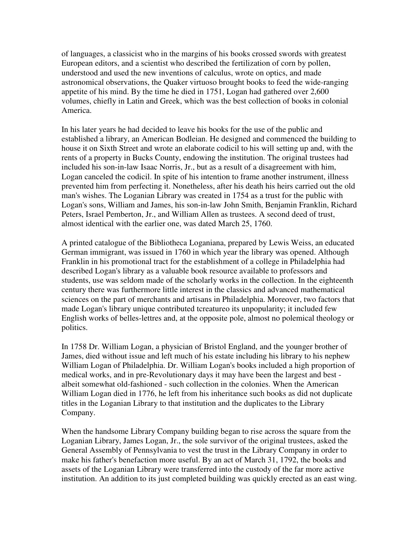of languages, a classicist who in the margins of his books crossed swords with greatest European editors, and a scientist who described the fertilization of corn by pollen, understood and used the new inventions of calculus, wrote on optics, and made astronomical observations, the Quaker virtuoso brought books to feed the wide-ranging appetite of his mind. By the time he died in 1751, Logan had gathered over 2,600 volumes, chiefly in Latin and Greek, which was the best collection of books in colonial America.

In his later years he had decided to leave his books for the use of the public and established a library, an American Bodleian. He designed and commenced the building to house it on Sixth Street and wrote an elaborate codicil to his will setting up and, with the rents of a property in Bucks County, endowing the institution. The original trustees had included his son-in-law Isaac Norris, Jr., but as a result of a disagreement with him, Logan canceled the codicil. In spite of his intention to frame another instrument, illness prevented him from perfecting it. Nonetheless, after his death his heirs carried out the old man's wishes. The Loganian Library was created in 1754 as a trust for the public with Logan's sons, William and James, his son-in-law John Smith, Benjamin Franklin, Richard Peters, Israel Pemberton, Jr., and William Allen as trustees. A second deed of trust, almost identical with the earlier one, was dated March 25, 1760.

A printed catalogue of the Bibliotheca Loganiana, prepared by Lewis Weiss, an educated German immigrant, was issued in 1760 in which year the library was opened. Although Franklin in his promotional tract for the establishment of a college in Philadelphia had described Logan's library as a valuable book resource available to professors and students, use was seldom made of the scholarly works in the collection. In the eighteenth century there was furthermore little interest in the classics and advanced mathematical sciences on the part of merchants and artisans in Philadelphia. Moreover, two factors that made Logan's library unique contributed tcreatureo its unpopularity; it included few English works of belles-lettres and, at the opposite pole, almost no polemical theology or politics.

In 1758 Dr. William Logan, a physician of Bristol England, and the younger brother of James, died without issue and left much of his estate including his library to his nephew William Logan of Philadelphia. Dr. William Logan's books included a high proportion of medical works, and in pre-Revolutionary days it may have been the largest and best albeit somewhat old-fashioned - such collection in the colonies. When the American William Logan died in 1776, he left from his inheritance such books as did not duplicate titles in the Loganian Library to that institution and the duplicates to the Library Company.

When the handsome Library Company building began to rise across the square from the Loganian Library, James Logan, Jr., the sole survivor of the original trustees, asked the General Assembly of Pennsylvania to vest the trust in the Library Company in order to make his father's benefaction more useful. By an act of March 31, 1792, the books and assets of the Loganian Library were transferred into the custody of the far more active institution. An addition to its just completed building was quickly erected as an east wing.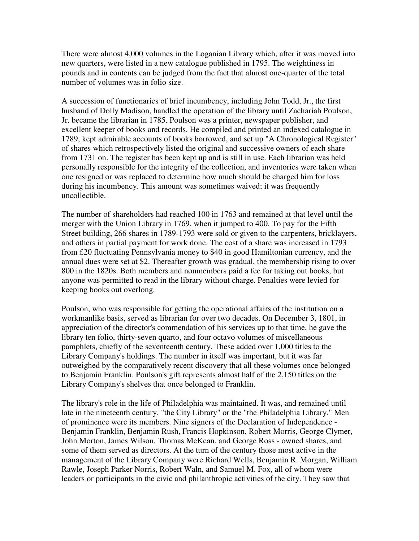There were almost 4,000 volumes in the Loganian Library which, after it was moved into new quarters, were listed in a new catalogue published in 1795. The weightiness in pounds and in contents can be judged from the fact that almost one-quarter of the total number of volumes was in folio size.

A succession of functionaries of brief incumbency, including John Todd, Jr., the first husband of Dolly Madison, handled the operation of the library until Zachariah Poulson, Jr. became the librarian in 1785. Poulson was a printer, newspaper publisher, and excellent keeper of books and records. He compiled and printed an indexed catalogue in 1789, kept admirable accounts of books borrowed, and set up "A Chronological Register" of shares which retrospectively listed the original and successive owners of each share from 1731 on. The register has been kept up and is still in use. Each librarian was held personally responsible for the integrity of the collection, and inventories were taken when one resigned or was replaced to determine how much should be charged him for loss during his incumbency. This amount was sometimes waived; it was frequently uncollectible.

The number of shareholders had reached 100 in 1763 and remained at that level until the merger with the Union Library in 1769, when it jumped to 400. To pay for the Fifth Street building, 266 shares in 1789-1793 were sold or given to the carpenters, bricklayers, and others in partial payment for work done. The cost of a share was increased in 1793 from £20 fluctuating Pennsylvania money to \$40 in good Hamiltonian currency, and the annual dues were set at \$2. Thereafter growth was gradual, the membership rising to over 800 in the 1820s. Both members and nonmembers paid a fee for taking out books, but anyone was permitted to read in the library without charge. Penalties were levied for keeping books out overlong.

Poulson, who was responsible for getting the operational affairs of the institution on a workmanlike basis, served as librarian for over two decades. On December 3, 1801, in appreciation of the director's commendation of his services up to that time, he gave the library ten folio, thirty-seven quarto, and four octavo volumes of miscellaneous pamphlets, chiefly of the seventeenth century. These added over 1,000 titles to the Library Company's holdings. The number in itself was important, but it was far outweighed by the comparatively recent discovery that all these volumes once belonged to Benjamin Franklin. Poulson's gift represents almost half of the 2,150 titles on the Library Company's shelves that once belonged to Franklin.

The library's role in the life of Philadelphia was maintained. It was, and remained until late in the nineteenth century, "the City Library" or the "the Philadelphia Library." Men of prominence were its members. Nine signers of the Declaration of Independence - Benjamin Franklin, Benjamin Rush, Francis Hopkinson, Robert Morris, George Clymer, John Morton, James Wilson, Thomas McKean, and George Ross - owned shares, and some of them served as directors. At the turn of the century those most active in the management of the Library Company were Richard Wells, Benjamin R. Morgan, William Rawle, Joseph Parker Norris, Robert Waln, and Samuel M. Fox, all of whom were leaders or participants in the civic and philanthropic activities of the city. They saw that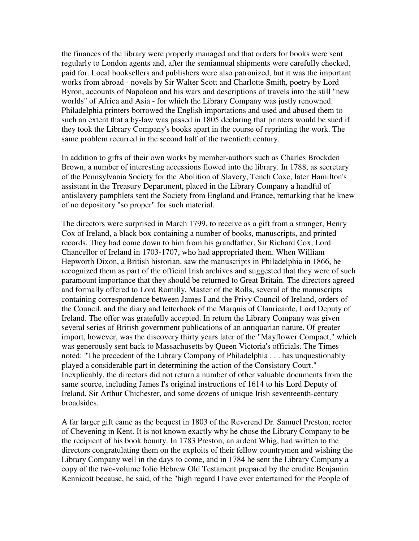the finances of the library were properly managed and that orders for books were sent regularly to London agents and, after the semiannual shipments were carefully checked, paid for. Local booksellers and publishers were also patronized, but it was the important works from abroad - novels by Sir Walter Scott and Charlotte Smith, poetry by Lord Byron, accounts of Napoleon and his wars and descriptions of travels into the still "new worlds" of Africa and Asia - for which the Library Company was justly renowned. Philadelphia printers borrowed the English importations and used and abused them to such an extent that a by-law was passed in 1805 declaring that printers would be sued if they took the Library Company's books apart in the course of reprinting the work. The same problem recurred in the second half of the twentieth century.

In addition to gifts of their own works by member-authors such as Charles Brockden Brown, a number of interesting accessions flowed into the library. In 1788, as secretary of the Pennsylvania Society for the Abolition of Slavery, Tench Coxe, later Hamilton's assistant in the Treasury Department, placed in the Library Company a handful of antislavery pamphlets sent the Society from England and France, remarking that he knew of no depository "so proper" for such material.

The directors were surprised in March 1799, to receive as a gift from a stranger, Henry Cox of Ireland, a black box containing a number of books, manuscripts, and printed records. They had come down to him from his grandfather, Sir Richard Cox, Lord Chancellor of Ireland in 1703-1707, who had appropriated them. When William Hepworth Dixon, a British historian, saw the manuscripts in Philadelphia in 1866, he recognized them as part of the official Irish archives and suggested that they were of such paramount importance that they should be returned to Great Britain. The directors agreed and formally offered to Lord Romilly, Master of the Rolls, several of the manuscripts containing correspondence between James I and the Privy Council of Ireland, orders of the Council, and the diary and letterbook of the Marquis of Clanricarde, Lord Deputy of Ireland. The offer was gratefully accepted. In return the Library Company was given several series of British government publications of an antiquarian nature. Of greater import, however, was the discovery thirty years later of the "Mayflower Compact," which was generously sent back to Massachusetts by Queen Victoria's officials. The Times noted: "The precedent of the Library Company of Philadelphia . . . has unquestionably played a considerable part in determining the action of the Consistory Court." Inexplicably, the directors did not return a number of other valuable documents from the same source, including James I's original instructions of 1614 to his Lord Deputy of Ireland, Sir Arthur Chichester, and some dozens of unique Irish seventeenth-century broadsides.

A far larger gift came as the bequest in 1803 of the Reverend Dr. Samuel Preston, rector of Chevening in Kent. It is not known exactly why he chose the Library Company to be the recipient of his book bounty. In 1783 Preston, an ardent Whig, had written to the directors congratulating them on the exploits of their fellow countrymen and wishing the Library Company well in the days to come, and in 1784 he sent the Library Company a copy of the two-volume folio Hebrew Old Testament prepared by the erudite Benjamin Kennicott because, he said, of the "high regard I have ever entertained for the People of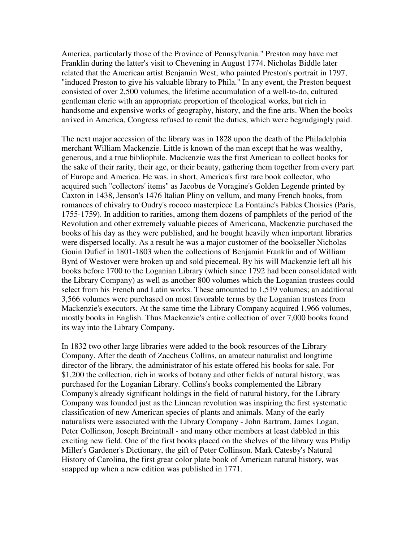America, particularly those of the Province of Pennsylvania." Preston may have met Franklin during the latter's visit to Chevening in August 1774. Nicholas Biddle later related that the American artist Benjamin West, who painted Preston's portrait in 1797, "induced Preston to give his valuable library to Phila." In any event, the Preston bequest consisted of over 2,500 volumes, the lifetime accumulation of a well-to-do, cultured gentleman cleric with an appropriate proportion of theological works, but rich in handsome and expensive works of geography, history, and the fine arts. When the books arrived in America, Congress refused to remit the duties, which were begrudgingly paid.

The next major accession of the library was in 1828 upon the death of the Philadelphia merchant William Mackenzie. Little is known of the man except that he was wealthy, generous, and a true bibliophile. Mackenzie was the first American to collect books for the sake of their rarity, their age, or their beauty, gathering them together from every part of Europe and America. He was, in short, America's first rare book collector, who acquired such "collectors' items" as Jacobus de Voragine's Golden Legende printed by Caxton in 1438, Jenson's 1476 Italian Pliny on vellum, and many French books, from romances of chivalry to Oudry's rococo masterpiece La Fontaine's Fables Choisies (Paris, 1755-1759). In addition to rarities, among them dozens of pamphlets of the period of the Revolution and other extremely valuable pieces of Americana, Mackenzie purchased the books of his day as they were published, and he bought heavily when important libraries were dispersed locally. As a result he was a major customer of the bookseller Nicholas Gouin Dufief in 1801-1803 when the collections of Benjamin Franklin and of William Byrd of Westover were broken up and sold piecemeal. By his will Mackenzie left all his books before 1700 to the Loganian Library (which since 1792 had been consolidated with the Library Company) as well as another 800 volumes which the Loganian trustees could select from his French and Latin works. These amounted to 1,519 volumes; an additional 3,566 volumes were purchased on most favorable terms by the Loganian trustees from Mackenzie's executors. At the same time the Library Company acquired 1,966 volumes, mostly books in English. Thus Mackenzie's entire collection of over 7,000 books found its way into the Library Company.

In 1832 two other large libraries were added to the book resources of the Library Company. After the death of Zaccheus Collins, an amateur naturalist and longtime director of the library, the administrator of his estate offered his books for sale. For \$1,200 the collection, rich in works of botany and other fields of natural history, was purchased for the Loganian Library. Collins's books complemented the Library Company's already significant holdings in the field of natural history, for the Library Company was founded just as the Linnean revolution was inspiring the first systematic classification of new American species of plants and animals. Many of the early naturalists were associated with the Library Company - John Bartram, James Logan, Peter Collinson, Joseph Breintnall - and many other members at least dabbled in this exciting new field. One of the first books placed on the shelves of the library was Philip Miller's Gardener's Dictionary, the gift of Peter Collinson. Mark Catesby's Natural History of Carolina, the first great color plate book of American natural history, was snapped up when a new edition was published in 1771.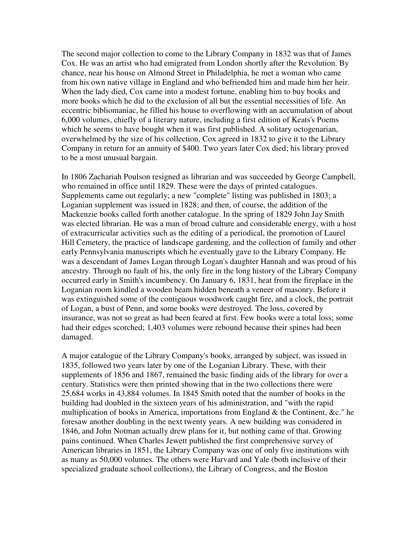The second major collection to come to the Library Company in 1832 was that of James Cox. He was an artist who had emigrated from London shortly after the Revolution. By chance, near his house on Almond Street in Philadelphia, he met a woman who came from his own native village in England and who befriended him and made him her heir. When the lady died, Cox came into a modest fortune, enabling him to buy books and more books which he did to the exclusion of all but the essential necessities of life. An eccentric bibliomaniac, he filled his house to overflowing with an accumulation of about 6,000 volumes, chiefly of a literary nature, including a first edition of Keats's Poems which he seems to have bought when it was first published. A solitary octogenarian, overwhelmed by the size of his collection, Cox agreed in 1832 to give it to the Library Company in return for an annuity of \$400. Two years later Cox died; his library proved to be a most unusual bargain.

In 1806 Zachariah Poulson resigned as librarian and was succeeded by George Campbell, who remained in office until 1829. These were the days of printed catalogues. Supplements came out regularly; a new "complete" listing was published in 1803; a Loganian supplement was issued in 1828; and then, of course, the addition of the Mackenzie books called forth another catalogue. In the spring of 1829 John Jay Smith was elected librarian. He was a man of broad culture and considerable energy, with a host of extracurricular activities such as the editing of a periodical, the promotion of Laurel Hill Cemetery, the practice of landscape gardening, and the collection of family and other early Pennsylvania manuscripts which he eventually gave to the Library Company. He was a descendant of James Logan through Logan's daughter Hannah and was proud of his ancestry. Through no fault of his, the only fire in the long history of the Library Company occurred early in Smith's incumbency. On January 6, 1831, heat from the fireplace in the Loganian room kindled a wooden beam hidden beneath a veneer of masonry. Before it was extinguished some of the contiguous woodwork caught fire, and a clock, the portrait of Logan, a bust of Penn, and some books were destroyed. The loss, covered by insurance, was not so great as had been feared at first. Few books were a total loss; some had their edges scorched; 1,403 volumes were rebound because their spines had been damaged.

A major catalogue of the Library Company's books, arranged by subject, was issued in 1835, followed two years later by one of the Loganian Library. These, with their supplements of 1856 and 1867, remained the basic finding aids of the library for over a century. Statistics were then printed showing that in the two collections there were 25,684 works in 43,884 volumes. In 1845 Smith noted that the number of books in the building had doubled in the sixteen years of his administration, and "with the rapid multiplication of books in America, importations from England & the Continent, &c." he foresaw another doubling in the next twenty years. A new building was considered in 1846, and John Notman actually drew plans for it, but nothing came of that. Growing pains continued. When Charles Jewett published the first comprehensive survey of American libraries in 1851, the Library Company was one of only five institutions with as many as 50,000 volumes. The others were Harvard and Yale (both inclusive of their specialized graduate school collections), the Library of Congress, and the Boston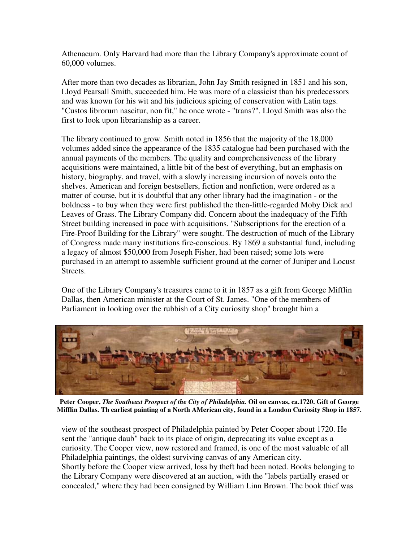Athenaeum. Only Harvard had more than the Library Company's approximate count of 60,000 volumes.

After more than two decades as librarian, John Jay Smith resigned in 1851 and his son, Lloyd Pearsall Smith, succeeded him. He was more of a classicist than his predecessors and was known for his wit and his judicious spicing of conservation with Latin tags. "Custos librorum nascitur, non fit," he once wrote - "trans?". Lloyd Smith was also the first to look upon librarianship as a career.

The library continued to grow. Smith noted in 1856 that the majority of the 18,000 volumes added since the appearance of the 1835 catalogue had been purchased with the annual payments of the members. The quality and comprehensiveness of the library acquisitions were maintained, a little bit of the best of everything, but an emphasis on history, biography, and travel, with a slowly increasing incursion of novels onto the shelves. American and foreign bestsellers, fiction and nonfiction, were ordered as a matter of course, but it is doubtful that any other library had the imagination - or the boldness - to buy when they were first published the then-little-regarded Moby Dick and Leaves of Grass. The Library Company did. Concern about the inadequacy of the Fifth Street building increased in pace with acquisitions. "Subscriptions for the erection of a Fire-Proof Building for the Library" were sought. The destruction of much of the Library of Congress made many institutions fire-conscious. By 1869 a substantial fund, including a legacy of almost \$50,000 from Joseph Fisher, had been raised; some lots were purchased in an attempt to assemble sufficient ground at the corner of Juniper and Locust Streets.

One of the Library Company's treasures came to it in 1857 as a gift from George Mifflin Dallas, then American minister at the Court of St. James. "One of the members of Parliament in looking over the rubbish of a City curiosity shop" brought him a



**Peter Cooper,** *The Southeast Prospect of the City of Philadelphia.* **Oil on canvas, ca.1720. Gift of George** Mifflin Dallas. Th earliest painting of a North AMerican city, found in a London Curiosity Shop in 1857.

view of the southeast prospect of Philadelphia painted by Peter Cooper about 1720. He sent the "antique daub" back to its place of origin, deprecating its value except as a curiosity. The Cooper view, now restored and framed, is one of the most valuable of all Philadelphia paintings, the oldest surviving canvas of any American city. Shortly before the Cooper view arrived, loss by theft had been noted. Books belonging to

the Library Company were discovered at an auction, with the "labels partially erased or concealed," where they had been consigned by William Linn Brown. The book thief was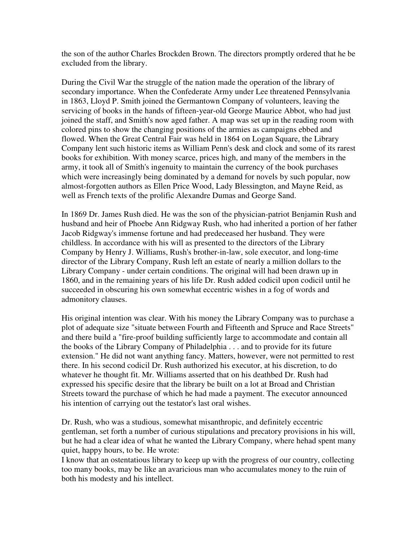the son of the author Charles Brockden Brown. The directors promptly ordered that he be excluded from the library.

During the Civil War the struggle of the nation made the operation of the library of secondary importance. When the Confederate Army under Lee threatened Pennsylvania in 1863, Lloyd P. Smith joined the Germantown Company of volunteers, leaving the servicing of books in the hands of fifteen-year-old George Maurice Abbot, who had just joined the staff, and Smith's now aged father. A map was set up in the reading room with colored pins to show the changing positions of the armies as campaigns ebbed and flowed. When the Great Central Fair was held in 1864 on Logan Square, the Library Company lent such historic items as William Penn's desk and clock and some of its rarest books for exhibition. With money scarce, prices high, and many of the members in the army, it took all of Smith's ingenuity to maintain the currency of the book purchases which were increasingly being dominated by a demand for novels by such popular, now almost-forgotten authors as Ellen Price Wood, Lady Blessington, and Mayne Reid, as well as French texts of the prolific Alexandre Dumas and George Sand.

In 1869 Dr. James Rush died. He was the son of the physician-patriot Benjamin Rush and husband and heir of Phoebe Ann Ridgway Rush, who had inherited a portion of her father Jacob Ridgway's immense fortune and had predeceased her husband. They were childless. In accordance with his will as presented to the directors of the Library Company by Henry J. Williams, Rush's brother-in-law, sole executor, and long-time director of the Library Company, Rush left an estate of nearly a million dollars to the Library Company - under certain conditions. The original will had been drawn up in 1860, and in the remaining years of his life Dr. Rush added codicil upon codicil until he succeeded in obscuring his own somewhat eccentric wishes in a fog of words and admonitory clauses.

His original intention was clear. With his money the Library Company was to purchase a plot of adequate size "situate between Fourth and Fifteenth and Spruce and Race Streets" and there build a "fire-proof building sufficiently large to accommodate and contain all the books of the Library Company of Philadelphia . . . and to provide for its future extension." He did not want anything fancy. Matters, however, were not permitted to rest there. In his second codicil Dr. Rush authorized his executor, at his discretion, to do whatever he thought fit. Mr. Williams asserted that on his deathbed Dr. Rush had expressed his specific desire that the library be built on a lot at Broad and Christian Streets toward the purchase of which he had made a payment. The executor announced his intention of carrying out the testator's last oral wishes.

Dr. Rush, who was a studious, somewhat misanthropic, and definitely eccentric gentleman, set forth a number of curious stipulations and precatory provisions in his will, but he had a clear idea of what he wanted the Library Company, where hehad spent many quiet, happy hours, to be. He wrote:

I know that an ostentatious library to keep up with the progress of our country, collecting too many books, may be like an avaricious man who accumulates money to the ruin of both his modesty and his intellect.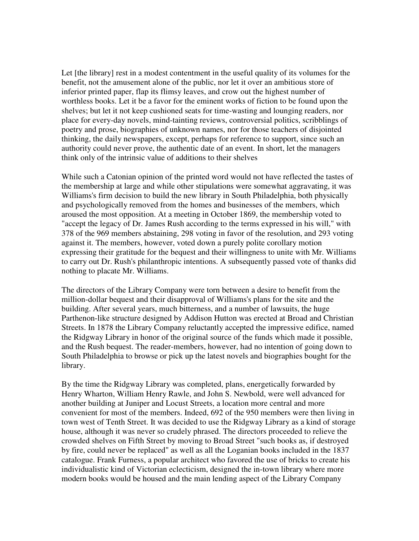Let [the library] rest in a modest contentment in the useful quality of its volumes for the benefit, not the amusement alone of the public, nor let it over an ambitious store of inferior printed paper, flap its flimsy leaves, and crow out the highest number of worthless books. Let it be a favor for the eminent works of fiction to be found upon the shelves; but let it not keep cushioned seats for time-wasting and lounging readers, nor place for every-day novels, mind-tainting reviews, controversial politics, scribblings of poetry and prose, biographies of unknown names, nor for those teachers of disjointed thinking, the daily newspapers, except, perhaps for reference to support, since such an authority could never prove, the authentic date of an event. In short, let the managers think only of the intrinsic value of additions to their shelves

While such a Catonian opinion of the printed word would not have reflected the tastes of the membership at large and while other stipulations were somewhat aggravating, it was Williams's firm decision to build the new library in South Philadelphia, both physically and psychologically removed from the homes and businesses of the members, which aroused the most opposition. At a meeting in October 1869, the membership voted to "accept the legacy of Dr. James Rush according to the terms expressed in his will," with 378 of the 969 members abstaining, 298 voting in favor of the resolution, and 293 voting against it. The members, however, voted down a purely polite corollary motion expressing their gratitude for the bequest and their willingness to unite with Mr. Williams to carry out Dr. Rush's philanthropic intentions. A subsequently passed vote of thanks did nothing to placate Mr. Williams.

The directors of the Library Company were torn between a desire to benefit from the million-dollar bequest and their disapproval of Williams's plans for the site and the building. After several years, much bitterness, and a number of lawsuits, the huge Parthenon-like structure designed by Addison Hutton was erected at Broad and Christian Streets. In 1878 the Library Company reluctantly accepted the impressive edifice, named the Ridgway Library in honor of the original source of the funds which made it possible, and the Rush bequest. The reader-members, however, had no intention of going down to South Philadelphia to browse or pick up the latest novels and biographies bought for the library.

By the time the Ridgway Library was completed, plans, energetically forwarded by Henry Wharton, William Henry Rawle, and John S. Newbold, were well advanced for another building at Juniper and Locust Streets, a location more central and more convenient for most of the members. Indeed, 692 of the 950 members were then living in town west of Tenth Street. It was decided to use the Ridgway Library as a kind of storage house, although it was never so crudely phrased. The directors proceeded to relieve the crowded shelves on Fifth Street by moving to Broad Street "such books as, if destroyed by fire, could never be replaced" as well as all the Loganian books included in the 1837 catalogue. Frank Furness, a popular architect who favored the use of bricks to create his individualistic kind of Victorian eclecticism, designed the in-town library where more modern books would be housed and the main lending aspect of the Library Company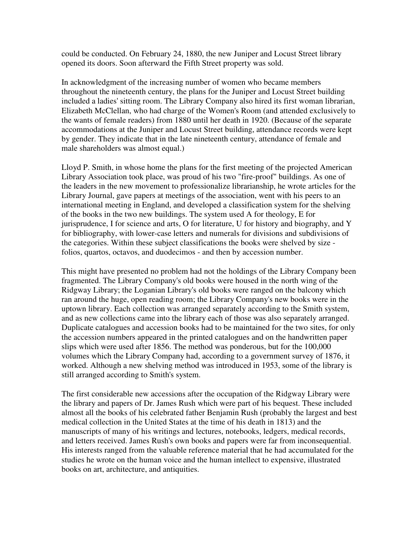could be conducted. On February 24, 1880, the new Juniper and Locust Street library opened its doors. Soon afterward the Fifth Street property was sold.

In acknowledgment of the increasing number of women who became members throughout the nineteenth century, the plans for the Juniper and Locust Street building included a ladies' sitting room. The Library Company also hired its first woman librarian, Elizabeth McClellan, who had charge of the Women's Room (and attended exclusively to the wants of female readers) from 1880 until her death in 1920. (Because of the separate accommodations at the Juniper and Locust Street building, attendance records were kept by gender. They indicate that in the late nineteenth century, attendance of female and male shareholders was almost equal.)

Lloyd P. Smith, in whose home the plans for the first meeting of the projected American Library Association took place, was proud of his two "fire-proof" buildings. As one of the leaders in the new movement to professionalize librarianship, he wrote articles for the Library Journal, gave papers at meetings of the association, went with his peers to an international meeting in England, and developed a classification system for the shelving of the books in the two new buildings. The system used A for theology, E for jurisprudence, I for science and arts, O for literature, U for history and biography, and Y for bibliography, with lower-case letters and numerals for divisions and subdivisions of the categories. Within these subject classifications the books were shelved by size folios, quartos, octavos, and duodecimos - and then by accession number.

This might have presented no problem had not the holdings of the Library Company been fragmented. The Library Company's old books were housed in the north wing of the Ridgway Library; the Loganian Library's old books were ranged on the balcony which ran around the huge, open reading room; the Library Company's new books were in the uptown library. Each collection was arranged separately according to the Smith system, and as new collections came into the library each of those was also separately arranged. Duplicate catalogues and accession books had to be maintained for the two sites, for only the accession numbers appeared in the printed catalogues and on the handwritten paper slips which were used after 1856. The method was ponderous, but for the 100,000 volumes which the Library Company had, according to a government survey of 1876, it worked. Although a new shelving method was introduced in 1953, some of the library is still arranged according to Smith's system.

The first considerable new accessions after the occupation of the Ridgway Library were the library and papers of Dr. James Rush which were part of his bequest. These included almost all the books of his celebrated father Benjamin Rush (probably the largest and best medical collection in the United States at the time of his death in 1813) and the manuscripts of many of his writings and lectures, notebooks, ledgers, medical records, and letters received. James Rush's own books and papers were far from inconsequential. His interests ranged from the valuable reference material that he had accumulated for the studies he wrote on the human voice and the human intellect to expensive, illustrated books on art, architecture, and antiquities.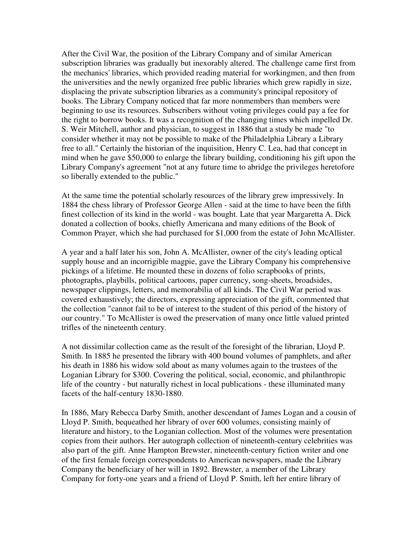After the Civil War, the position of the Library Company and of similar American subscription libraries was gradually but inexorably altered. The challenge came first from the mechanics' libraries, which provided reading material for workingmen, and then from the universities and the newly organized free public libraries which grew rapidly in size, displacing the private subscription libraries as a community's principal repository of books. The Library Company noticed that far more nonmembers than members were beginning to use its resources. Subscribers without voting privileges could pay a fee for the right to borrow books. It was a recognition of the changing times which impelled Dr. S. Weir Mitchell, author and physician, to suggest in 1886 that a study be made "to consider whether it may not be possible to make of the Philadelphia Library a Library free to all." Certainly the historian of the inquisition, Henry C. Lea, had that concept in mind when he gave \$50,000 to enlarge the library building, conditioning his gift upon the Library Company's agreement "not at any future time to abridge the privileges heretofore so liberally extended to the public."

At the same time the potential scholarly resources of the library grew impressively. In 1884 the chess library of Professor George Allen - said at the time to have been the fifth finest collection of its kind in the world - was bought. Late that year Margaretta A. Dick donated a collection of books, chiefly Americana and many editions of the Book of Common Prayer, which she had purchased for \$1,000 from the estate of John McAllister.

A year and a half later his son, John A. McAllister, owner of the city's leading optical supply house and an incorrigible magpie, gave the Library Company his comprehensive pickings of a lifetime. He mounted these in dozens of folio scrapbooks of prints, photographs, playbills, political cartoons, paper currency, song-sheets, broadsides, newspaper clippings, letters, and memorabilia of all kinds. The Civil War period was covered exhaustively; the directors, expressing appreciation of the gift, commented that the collection "cannot fail to be of interest to the student of this period of the history of our country." To McAllister is owed the preservation of many once little valued printed trifles of the nineteenth century.

A not dissimilar collection came as the result of the foresight of the librarian, Lloyd P. Smith. In 1885 he presented the library with 400 bound volumes of pamphlets, and after his death in 1886 his widow sold about as many volumes again to the trustees of the Loganian Library for \$300. Covering the political, social, economic, and philanthropic life of the country - but naturally richest in local publications - these illuminated many facets of the half-century 1830-1880.

In 1886, Mary Rebecca Darby Smith, another descendant of James Logan and a cousin of Lloyd P. Smith, bequeathed her library of over 600 volumes, consisting mainly of literature and history, to the Loganian collection. Most of the volumes were presentation copies from their authors. Her autograph collection of nineteenth-century celebrities was also part of the gift. Anne Hampton Brewster, nineteenth-century fiction writer and one of the first female foreign correspondents to American newspapers, made the Library Company the beneficiary of her will in 1892. Brewster, a member of the Library Company for forty-one years and a friend of Lloyd P. Smith, left her entire library of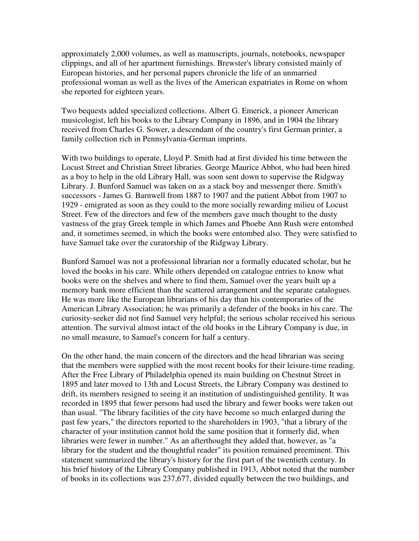approximately 2,000 volumes, as well as manuscripts, journals, notebooks, newspaper clippings, and all of her apartment furnishings. Brewster's library consisted mainly of European histories, and her personal papers chronicle the life of an unmarried professional woman as well as the lives of the American expatriates in Rome on whom she reported for eighteen years.

Two bequests added specialized collections. Albert G. Emerick, a pioneer American musicologist, left his books to the Library Company in 1896, and in 1904 the library received from Charles G. Sower, a descendant of the country's first German printer, a family collection rich in Pennsylvania-German imprints.

With two buildings to operate, Lloyd P. Smith had at first divided his time between the Locust Street and Christian Street libraries. George Maurice Abbot, who had been hired as a boy to help in the old Library Hall, was soon sent down to supervise the Ridgway Library. J. Bunford Samuel was taken on as a stack boy and messenger there. Smith's successors - James G. Barnwell from 1887 to 1907 and the patient Abbot from 1907 to 1929 - emigrated as soon as they could to the more socially rewarding milieu of Locust Street. Few of the directors and few of the members gave much thought to the dusty vastness of the gray Greek temple in which James and Phoebe Ann Rush were entombed and, it sometimes seemed, in which the books were entombed also. They were satisfied to have Samuel take over the curatorship of the Ridgway Library.

Bunford Samuel was not a professional librarian nor a formally educated scholar, but he loved the books in his care. While others depended on catalogue entries to know what books were on the shelves and where to find them, Samuel over the years built up a memory bank more efficient than the scattered arrangement and the separate catalogues. He was more like the European librarians of his day than his contemporaries of the American Library Association; he was primarily a defender of the books in his care. The curiosity-seeker did not find Samuel very helpful; the serious scholar received his serious attention. The survival almost intact of the old books in the Library Company is due, in no small measure, to Samuel's concern for half a century.

On the other hand, the main concern of the directors and the head librarian was seeing that the members were supplied with the most recent books for their leisure-time reading. After the Free Library of Philadelphia opened its main building on Chestnut Street in 1895 and later moved to 13th and Locust Streets, the Library Company was destined to drift, its members resigned to seeing it an institution of undistinguished gentility. It was recorded in 1895 that fewer persons had used the library and fewer books were taken out than usual. "The library facilities of the city have become so much enlarged during the past few years," the directors reported to the shareholders in 1903, "that a library of the character of your institution cannot hold the same position that it formerly did, when libraries were fewer in number." As an afterthought they added that, however, as "a library for the student and the thoughtful reader" its position remained preeminent. This statement summarized the library's history for the first part of the twentieth century. In his brief history of the Library Company published in 1913, Abbot noted that the number of books in its collections was 237,677, divided equally between the two buildings, and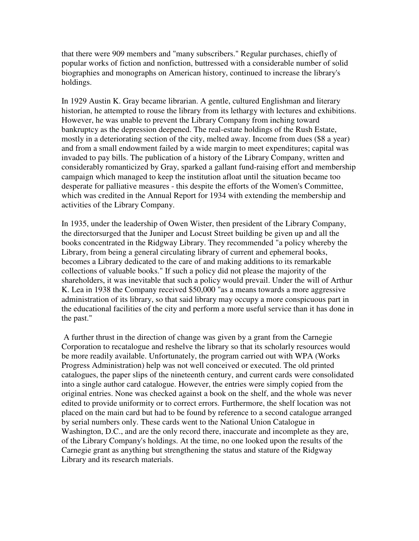that there were 909 members and "many subscribers." Regular purchases, chiefly of popular works of fiction and nonfiction, buttressed with a considerable number of solid biographies and monographs on American history, continued to increase the library's holdings.

In 1929 Austin K. Gray became librarian. A gentle, cultured Englishman and literary historian, he attempted to rouse the library from its lethargy with lectures and exhibitions. However, he was unable to prevent the Library Company from inching toward bankruptcy as the depression deepened. The real-estate holdings of the Rush Estate, mostly in a deteriorating section of the city, melted away. Income from dues (\$8 a year) and from a small endowment failed by a wide margin to meet expenditures; capital was invaded to pay bills. The publication of a history of the Library Company, written and considerably romanticized by Gray, sparked a gallant fund-raising effort and membership campaign which managed to keep the institution afloat until the situation became too desperate for palliative measures - this despite the efforts of the Women's Committee, which was credited in the Annual Report for 1934 with extending the membership and activities of the Library Company.

In 1935, under the leadership of Owen Wister, then president of the Library Company, the directorsurged that the Juniper and Locust Street building be given up and all the books concentrated in the Ridgway Library. They recommended "a policy whereby the Library, from being a general circulating library of current and ephemeral books, becomes a Library dedicated to the care of and making additions to its remarkable collections of valuable books." If such a policy did not please the majority of the shareholders, it was inevitable that such a policy would prevail. Under the will of Arthur K. Lea in 1938 the Company received \$50,000 "as a means towards a more aggressive administration of its library, so that said library may occupy a more conspicuous part in the educational facilities of the city and perform a more useful service than it has done in the past."

A further thrust in the direction of change was given by a grant from the Carnegie Corporation to recatalogue and reshelve the library so that its scholarly resources would be more readily available. Unfortunately, the program carried out with WPA (Works Progress Administration) help was not well conceived or executed. The old printed catalogues, the paper slips of the nineteenth century, and current cards were consolidated into a single author card catalogue. However, the entries were simply copied from the original entries. None was checked against a book on the shelf, and the whole was never edited to provide uniformity or to correct errors. Furthermore, the shelf location was not placed on the main card but had to be found by reference to a second catalogue arranged by serial numbers only. These cards went to the National Union Catalogue in Washington, D.C., and are the only record there, inaccurate and incomplete as they are, of the Library Company's holdings. At the time, no one looked upon the results of the Carnegie grant as anything but strengthening the status and stature of the Ridgway Library and its research materials.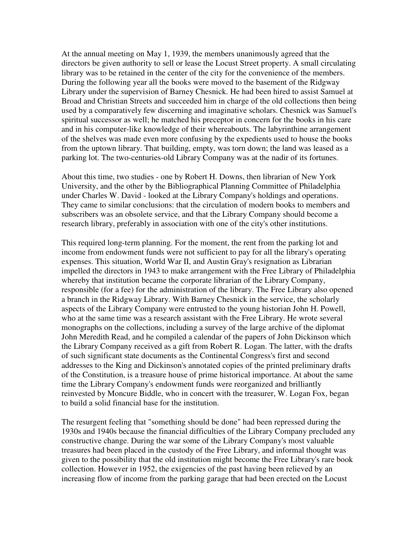At the annual meeting on May 1, 1939, the members unanimously agreed that the directors be given authority to sell or lease the Locust Street property. A small circulating library was to be retained in the center of the city for the convenience of the members. During the following year all the books were moved to the basement of the Ridgway Library under the supervision of Barney Chesnick. He had been hired to assist Samuel at Broad and Christian Streets and succeeded him in charge of the old collections then being used by a comparatively few discerning and imaginative scholars. Chesnick was Samuel's spiritual successor as well; he matched his preceptor in concern for the books in his care and in his computer-like knowledge of their whereabouts. The labyrinthine arrangement of the shelves was made even more confusing by the expedients used to house the books from the uptown library. That building, empty, was torn down; the land was leased as a parking lot. The two-centuries-old Library Company was at the nadir of its fortunes.

About this time, two studies - one by Robert H. Downs, then librarian of New York University, and the other by the Bibliographical Planning Committee of Philadelphia under Charles W. David - looked at the Library Company's holdings and operations. They came to similar conclusions: that the circulation of modern books to members and subscribers was an obsolete service, and that the Library Company should become a research library, preferably in association with one of the city's other institutions.

This required long-term planning. For the moment, the rent from the parking lot and income from endowment funds were not sufficient to pay for all the library's operating expenses. This situation, World War II, and Austin Gray's resignation as Librarian impelled the directors in 1943 to make arrangement with the Free Library of Philadelphia whereby that institution became the corporate librarian of the Library Company, responsible (for a fee) for the administration of the library. The Free Library also opened a branch in the Ridgway Library. With Barney Chesnick in the service, the scholarly aspects of the Library Company were entrusted to the young historian John H. Powell, who at the same time was a research assistant with the Free Library. He wrote several monographs on the collections, including a survey of the large archive of the diplomat John Meredith Read, and he compiled a calendar of the papers of John Dickinson which the Library Company received as a gift from Robert R. Logan. The latter, with the drafts of such significant state documents as the Continental Congress's first and second addresses to the King and Dickinson's annotated copies of the printed preliminary drafts of the Constitution, is a treasure house of prime historical importance. At about the same time the Library Company's endowment funds were reorganized and brilliantly reinvested by Moncure Biddle, who in concert with the treasurer, W. Logan Fox, began to build a solid financial base for the institution.

The resurgent feeling that "something should be done" had been repressed during the 1930s and 1940s because the financial difficulties of the Library Company precluded any constructive change. During the war some of the Library Company's most valuable treasures had been placed in the custody of the Free Library, and informal thought was given to the possibility that the old institution might become the Free Library's rare book collection. However in 1952, the exigencies of the past having been relieved by an increasing flow of income from the parking garage that had been erected on the Locust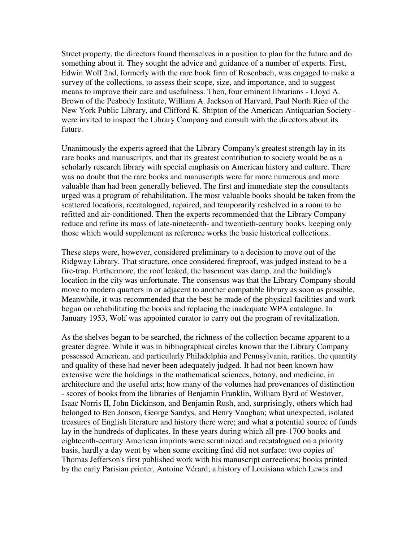Street property, the directors found themselves in a position to plan for the future and do something about it. They sought the advice and guidance of a number of experts. First, Edwin Wolf 2nd, formerly with the rare book firm of Rosenbach, was engaged to make a survey of the collections, to assess their scope, size, and importance, and to suggest means to improve their care and usefulness. Then, four eminent librarians - Lloyd A. Brown of the Peabody Institute, William A. Jackson of Harvard, Paul North Rice of the New York Public Library, and Clifford K. Shipton of the American Antiquarian Society were invited to inspect the Library Company and consult with the directors about its future.

Unanimously the experts agreed that the Library Company's greatest strength lay in its rare books and manuscripts, and that its greatest contribution to society would be as a scholarly research library with special emphasis on American history and culture. There was no doubt that the rare books and manuscripts were far more numerous and more valuable than had been generally believed. The first and immediate step the consultants urged was a program of rehabilitation. The most valuable books should be taken from the scattered locations, recatalogued, repaired, and temporarily reshelved in a room to be refitted and air-conditioned. Then the experts recommended that the Library Company reduce and refine its mass of late-nineteenth- and twentieth-century books, keeping only those which would supplement as reference works the basic historical collections.

These steps were, however, considered preliminary to a decision to move out of the Ridgway Library. That structure, once considered fireproof, was judged instead to be a fire-trap. Furthermore, the roof leaked, the basement was damp, and the building's location in the city was unfortunate. The consensus was that the Library Company should move to modern quarters in or adjacent to another compatible library as soon as possible. Meanwhile, it was recommended that the best be made of the physical facilities and work begun on rehabilitating the books and replacing the inadequate WPA catalogue. In January 1953, Wolf was appointed curator to carry out the program of revitalization.

As the shelves began to be searched, the richness of the collection became apparent to a greater degree. While it was in bibliographical circles known that the Library Company possessed American, and particularly Philadelphia and Pennsylvania, rarities, the quantity and quality of these had never been adequately judged. It had not been known how extensive were the holdings in the mathematical sciences, botany, and medicine, in architecture and the useful arts; how many of the volumes had provenances of distinction - scores of books from the libraries of Benjamin Franklin, William Byrd of Westover, Isaac Norris II, John Dickinson, and Benjamin Rush, and, surprisingly, others which had belonged to Ben Jonson, George Sandys, and Henry Vaughan; what unexpected, isolated treasures of English literature and history there were; and what a potential source of funds lay in the hundreds of duplicates. In these years during which all pre-1700 books and eighteenth-century American imprints were scrutinized and recatalogued on a priority basis, hardly a day went by when some exciting find did not surface: two copies of Thomas Jefferson's first published work with his manuscript corrections; books printed by the early Parisian printer, Antoine Vérard; a history of Louisiana which Lewis and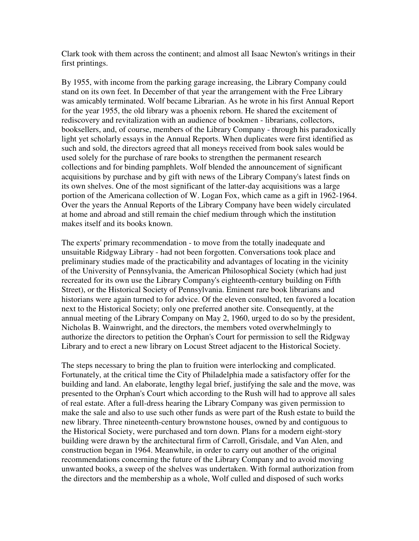Clark took with them across the continent; and almost all Isaac Newton's writings in their first printings.

By 1955, with income from the parking garage increasing, the Library Company could stand on its own feet. In December of that year the arrangement with the Free Library was amicably terminated. Wolf became Librarian. As he wrote in his first Annual Report for the year 1955, the old library was a phoenix reborn. He shared the excitement of rediscovery and revitalization with an audience of bookmen - librarians, collectors, booksellers, and, of course, members of the Library Company - through his paradoxically light yet scholarly essays in the Annual Reports. When duplicates were first identified as such and sold, the directors agreed that all moneys received from book sales would be used solely for the purchase of rare books to strengthen the permanent research collections and for binding pamphlets. Wolf blended the announcement of significant acquisitions by purchase and by gift with news of the Library Company's latest finds on its own shelves. One of the most significant of the latter-day acquisitions was a large portion of the Americana collection of W. Logan Fox, which came as a gift in 1962-1964. Over the years the Annual Reports of the Library Company have been widely circulated at home and abroad and still remain the chief medium through which the institution makes itself and its books known.

The experts' primary recommendation - to move from the totally inadequate and unsuitable Ridgway Library - had not been forgotten. Conversations took place and preliminary studies made of the practicability and advantages of locating in the vicinity of the University of Pennsylvania, the American Philosophical Society (which had just recreated for its own use the Library Company's eighteenth-century building on Fifth Street), or the Historical Society of Pennsylvania. Eminent rare book librarians and historians were again turned to for advice. Of the eleven consulted, ten favored a location next to the Historical Society; only one preferred another site. Consequently, at the annual meeting of the Library Company on May 2, 1960, urged to do so by the president, Nicholas B. Wainwright, and the directors, the members voted overwhelmingly to authorize the directors to petition the Orphan's Court for permission to sell the Ridgway Library and to erect a new library on Locust Street adjacent to the Historical Society.

The steps necessary to bring the plan to fruition were interlocking and complicated. Fortunately, at the critical time the City of Philadelphia made a satisfactory offer for the building and land. An elaborate, lengthy legal brief, justifying the sale and the move, was presented to the Orphan's Court which according to the Rush will had to approve all sales of real estate. After a full-dress hearing the Library Company was given permission to make the sale and also to use such other funds as were part of the Rush estate to build the new library. Three nineteenth-century brownstone houses, owned by and contiguous to the Historical Society, were purchased and torn down. Plans for a modern eight-story building were drawn by the architectural firm of Carroll, Grisdale, and Van Alen, and construction began in 1964. Meanwhile, in order to carry out another of the original recommendations concerning the future of the Library Company and to avoid moving unwanted books, a sweep of the shelves was undertaken. With formal authorization from the directors and the membership as a whole, Wolf culled and disposed of such works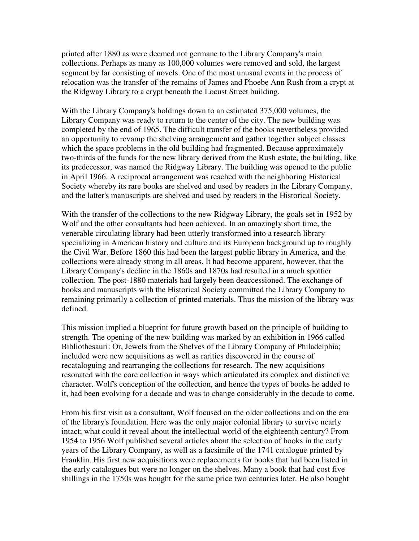printed after 1880 as were deemed not germane to the Library Company's main collections. Perhaps as many as 100,000 volumes were removed and sold, the largest segment by far consisting of novels. One of the most unusual events in the process of relocation was the transfer of the remains of James and Phoebe Ann Rush from a crypt at the Ridgway Library to a crypt beneath the Locust Street building.

With the Library Company's holdings down to an estimated 375,000 volumes, the Library Company was ready to return to the center of the city. The new building was completed by the end of 1965. The difficult transfer of the books nevertheless provided an opportunity to revamp the shelving arrangement and gather together subject classes which the space problems in the old building had fragmented. Because approximately two-thirds of the funds for the new library derived from the Rush estate, the building, like its predecessor, was named the Ridgway Library. The building was opened to the public in April 1966. A reciprocal arrangement was reached with the neighboring Historical Society whereby its rare books are shelved and used by readers in the Library Company, and the latter's manuscripts are shelved and used by readers in the Historical Society.

With the transfer of the collections to the new Ridgway Library, the goals set in 1952 by Wolf and the other consultants had been achieved. In an amazingly short time, the venerable circulating library had been utterly transformed into a research library specializing in American history and culture and its European background up to roughly the Civil War. Before 1860 this had been the largest public library in America, and the collections were already strong in all areas. It had become apparent, however, that the Library Company's decline in the 1860s and 1870s had resulted in a much spottier collection. The post-1880 materials had largely been deaccessioned. The exchange of books and manuscripts with the Historical Society committed the Library Company to remaining primarily a collection of printed materials. Thus the mission of the library was defined.

This mission implied a blueprint for future growth based on the principle of building to strength. The opening of the new building was marked by an exhibition in 1966 called Bibliothesauri: Or, Jewels from the Shelves of the Library Company of Philadelphia; included were new acquisitions as well as rarities discovered in the course of recataloguing and rearranging the collections for research. The new acquisitions resonated with the core collection in ways which articulated its complex and distinctive character. Wolf's conception of the collection, and hence the types of books he added to it, had been evolving for a decade and was to change considerably in the decade to come.

From his first visit as a consultant, Wolf focused on the older collections and on the era of the library's foundation. Here was the only major colonial library to survive nearly intact; what could it reveal about the intellectual world of the eighteenth century? From 1954 to 1956 Wolf published several articles about the selection of books in the early years of the Library Company, as well as a facsimile of the 1741 catalogue printed by Franklin. His first new acquisitions were replacements for books that had been listed in the early catalogues but were no longer on the shelves. Many a book that had cost five shillings in the 1750s was bought for the same price two centuries later. He also bought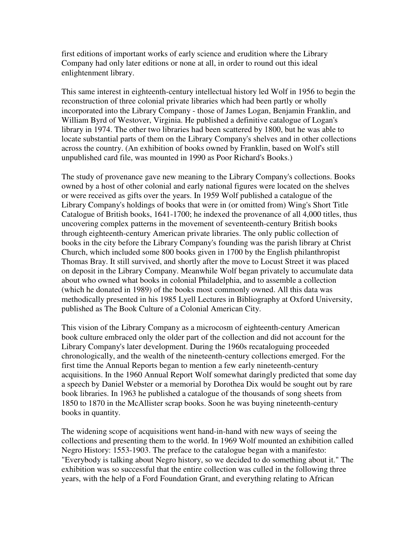first editions of important works of early science and erudition where the Library Company had only later editions or none at all, in order to round out this ideal enlightenment library.

This same interest in eighteenth-century intellectual history led Wolf in 1956 to begin the reconstruction of three colonial private libraries which had been partly or wholly incorporated into the Library Company - those of James Logan, Benjamin Franklin, and William Byrd of Westover, Virginia. He published a definitive catalogue of Logan's library in 1974. The other two libraries had been scattered by 1800, but he was able to locate substantial parts of them on the Library Company's shelves and in other collections across the country. (An exhibition of books owned by Franklin, based on Wolf's still unpublished card file, was mounted in 1990 as Poor Richard's Books.)

The study of provenance gave new meaning to the Library Company's collections. Books owned by a host of other colonial and early national figures were located on the shelves or were received as gifts over the years. In 1959 Wolf published a catalogue of the Library Company's holdings of books that were in (or omitted from) Wing's Short Title Catalogue of British books, 1641-1700; he indexed the provenance of all 4,000 titles, thus uncovering complex patterns in the movement of seventeenth-century British books through eighteenth-century American private libraries. The only public collection of books in the city before the Library Company's founding was the parish library at Christ Church, which included some 800 books given in 1700 by the English philanthropist Thomas Bray. It still survived, and shortly after the move to Locust Street it was placed on deposit in the Library Company. Meanwhile Wolf began privately to accumulate data about who owned what books in colonial Philadelphia, and to assemble a collection (which he donated in 1989) of the books most commonly owned. All this data was methodically presented in his 1985 Lyell Lectures in Bibliography at Oxford University, published as The Book Culture of a Colonial American City.

This vision of the Library Company as a microcosm of eighteenth-century American book culture embraced only the older part of the collection and did not account for the Library Company's later development. During the 1960s recataloguing proceeded chronologically, and the wealth of the nineteenth-century collections emerged. For the first time the Annual Reports began to mention a few early nineteenth-century acquisitions. In the 1960 Annual Report Wolf somewhat daringly predicted that some day a speech by Daniel Webster or a memorial by Dorothea Dix would be sought out by rare book libraries. In 1963 he published a catalogue of the thousands of song sheets from 1850 to 1870 in the McAllister scrap books. Soon he was buying nineteenth-century books in quantity.

The widening scope of acquisitions went hand-in-hand with new ways of seeing the collections and presenting them to the world. In 1969 Wolf mounted an exhibition called Negro History: 1553-1903. The preface to the catalogue began with a manifesto: "Everybody is talking about Negro history, so we decided to do something about it." The exhibition was so successful that the entire collection was culled in the following three years, with the help of a Ford Foundation Grant, and everything relating to African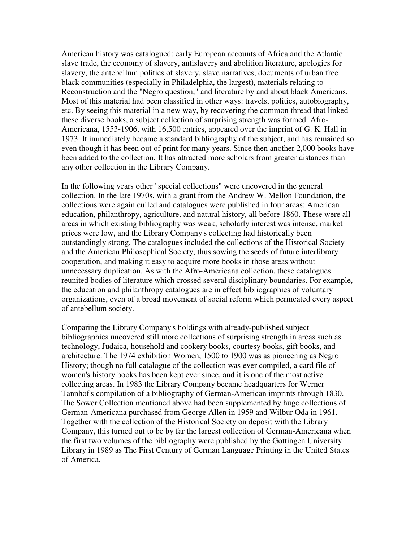American history was catalogued: early European accounts of Africa and the Atlantic slave trade, the economy of slavery, antislavery and abolition literature, apologies for slavery, the antebellum politics of slavery, slave narratives, documents of urban free black communities (especially in Philadelphia, the largest), materials relating to Reconstruction and the "Negro question," and literature by and about black Americans. Most of this material had been classified in other ways: travels, politics, autobiography, etc. By seeing this material in a new way, by recovering the common thread that linked these diverse books, a subject collection of surprising strength was formed. Afro-Americana, 1553-1906, with 16,500 entries, appeared over the imprint of G. K. Hall in 1973. It immediately became a standard bibliography of the subject, and has remained so even though it has been out of print for many years. Since then another 2,000 books have been added to the collection. It has attracted more scholars from greater distances than any other collection in the Library Company.

In the following years other "special collections" were uncovered in the general collection. In the late 1970s, with a grant from the Andrew W. Mellon Foundation, the collections were again culled and catalogues were published in four areas: American education, philanthropy, agriculture, and natural history, all before 1860. These were all areas in which existing bibliography was weak, scholarly interest was intense, market prices were low, and the Library Company's collecting had historically been outstandingly strong. The catalogues included the collections of the Historical Society and the American Philosophical Society, thus sowing the seeds of future interlibrary cooperation, and making it easy to acquire more books in those areas without unnecessary duplication. As with the Afro-Americana collection, these catalogues reunited bodies of literature which crossed several disciplinary boundaries. For example, the education and philanthropy catalogues are in effect bibliographies of voluntary organizations, even of a broad movement of social reform which permeated every aspect of antebellum society.

Comparing the Library Company's holdings with already-published subject bibliographies uncovered still more collections of surprising strength in areas such as technology, Judaica, household and cookery books, courtesy books, gift books, and architecture. The 1974 exhibition Women, 1500 to 1900 was as pioneering as Negro History; though no full catalogue of the collection was ever compiled, a card file of women's history books has been kept ever since, and it is one of the most active collecting areas. In 1983 the Library Company became headquarters for Werner Tannhof's compilation of a bibliography of German-American imprints through 1830. The Sower Collection mentioned above had been supplemented by huge collections of German-Americana purchased from George Allen in 1959 and Wilbur Oda in 1961. Together with the collection of the Historical Society on deposit with the Library Company, this turned out to be by far the largest collection of German-Americana when the first two volumes of the bibliography were published by the Gottingen University Library in 1989 as The First Century of German Language Printing in the United States of America.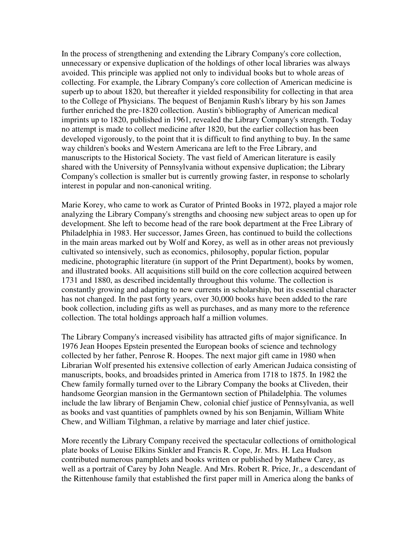In the process of strengthening and extending the Library Company's core collection, unnecessary or expensive duplication of the holdings of other local libraries was always avoided. This principle was applied not only to individual books but to whole areas of collecting. For example, the Library Company's core collection of American medicine is superb up to about 1820, but thereafter it yielded responsibility for collecting in that area to the College of Physicians. The bequest of Benjamin Rush's library by his son James further enriched the pre-1820 collection. Austin's bibliography of American medical imprints up to 1820, published in 1961, revealed the Library Company's strength. Today no attempt is made to collect medicine after 1820, but the earlier collection has been developed vigorously, to the point that it is difficult to find anything to buy. In the same way children's books and Western Americana are left to the Free Library, and manuscripts to the Historical Society. The vast field of American literature is easily shared with the University of Pennsylvania without expensive duplication; the Library Company's collection is smaller but is currently growing faster, in response to scholarly interest in popular and non-canonical writing.

Marie Korey, who came to work as Curator of Printed Books in 1972, played a major role analyzing the Library Company's strengths and choosing new subject areas to open up for development. She left to become head of the rare book department at the Free Library of Philadelphia in 1983. Her successor, James Green, has continued to build the collections in the main areas marked out by Wolf and Korey, as well as in other areas not previously cultivated so intensively, such as economics, philosophy, popular fiction, popular medicine, photographic literature (in support of the Print Department), books by women, and illustrated books. All acquisitions still build on the core collection acquired between 1731 and 1880, as described incidentally throughout this volume. The collection is constantly growing and adapting to new currents in scholarship, but its essential character has not changed. In the past forty years, over 30,000 books have been added to the rare book collection, including gifts as well as purchases, and as many more to the reference collection. The total holdings approach half a million volumes.

The Library Company's increased visibility has attracted gifts of major significance. In 1976 Jean Hoopes Epstein presented the European books of science and technology collected by her father, Penrose R. Hoopes. The next major gift came in 1980 when Librarian Wolf presented his extensive collection of early American Judaica consisting of manuscripts, books, and broadsides printed in America from 1718 to 1875. In 1982 the Chew family formally turned over to the Library Company the books at Cliveden, their handsome Georgian mansion in the Germantown section of Philadelphia. The volumes include the law library of Benjamin Chew, colonial chief justice of Pennsylvania, as well as books and vast quantities of pamphlets owned by his son Benjamin, William White Chew, and William Tilghman, a relative by marriage and later chief justice.

More recently the Library Company received the spectacular collections of ornithological plate books of Louise Elkins Sinkler and Francis R. Cope, Jr. Mrs. H. Lea Hudson contributed numerous pamphlets and books written or published by Mathew Carey, as well as a portrait of Carey by John Neagle. And Mrs. Robert R. Price, Jr., a descendant of the Rittenhouse family that established the first paper mill in America along the banks of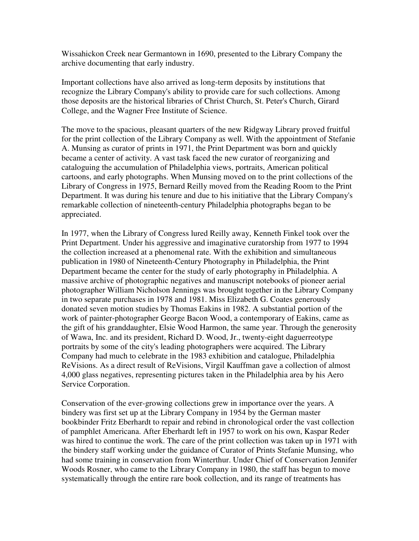Wissahickon Creek near Germantown in 1690, presented to the Library Company the archive documenting that early industry.

Important collections have also arrived as long-term deposits by institutions that recognize the Library Company's ability to provide care for such collections. Among those deposits are the historical libraries of Christ Church, St. Peter's Church, Girard College, and the Wagner Free Institute of Science.

The move to the spacious, pleasant quarters of the new Ridgway Library proved fruitful for the print collection of the Library Company as well. With the appointment of Stefanie A. Munsing as curator of prints in 1971, the Print Department was born and quickly became a center of activity. A vast task faced the new curator of reorganizing and cataloguing the accumulation of Philadelphia views, portraits, American political cartoons, and early photographs. When Munsing moved on to the print collections of the Library of Congress in 1975, Bernard Reilly moved from the Reading Room to the Print Department. It was during his tenure and due to his initiative that the Library Company's remarkable collection of nineteenth-century Philadelphia photographs began to be appreciated.

In 1977, when the Library of Congress lured Reilly away, Kenneth Finkel took over the Print Department. Under his aggressive and imaginative curatorship from 1977 to 1994 the collection increased at a phenomenal rate. With the exhibition and simultaneous publication in 1980 of Nineteenth-Century Photography in Philadelphia, the Print Department became the center for the study of early photography in Philadelphia. A massive archive of photographic negatives and manuscript notebooks of pioneer aerial photographer William Nicholson Jennings was brought together in the Library Company in two separate purchases in 1978 and 1981. Miss Elizabeth G. Coates generously donated seven motion studies by Thomas Eakins in 1982. A substantial portion of the work of painter-photographer George Bacon Wood, a contemporary of Eakins, came as the gift of his granddaughter, Elsie Wood Harmon, the same year. Through the generosity of Wawa, Inc. and its president, Richard D. Wood, Jr., twenty-eight daguerreotype portraits by some of the city's leading photographers were acquired. The Library Company had much to celebrate in the 1983 exhibition and catalogue, Philadelphia ReVisions. As a direct result of ReVisions, Virgil Kauffman gave a collection of almost 4,000 glass negatives, representing pictures taken in the Philadelphia area by his Aero Service Corporation.

Conservation of the ever-growing collections grew in importance over the years. A bindery was first set up at the Library Company in 1954 by the German master bookbinder Fritz Eberhardt to repair and rebind in chronological order the vast collection of pamphlet Americana. After Eberhardt left in 1957 to work on his own, Kaspar Reder was hired to continue the work. The care of the print collection was taken up in 1971 with the bindery staff working under the guidance of Curator of Prints Stefanie Munsing, who had some training in conservation from Winterthur. Under Chief of Conservation Jennifer Woods Rosner, who came to the Library Company in 1980, the staff has begun to move systematically through the entire rare book collection, and its range of treatments has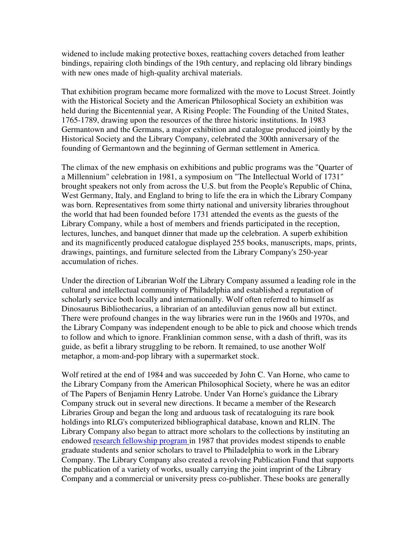widened to include making protective boxes, reattaching covers detached from leather bindings, repairing cloth bindings of the 19th century, and replacing old library bindings with new ones made of high-quality archival materials.

That exhibition program became more formalized with the move to Locust Street. Jointly with the Historical Society and the American Philosophical Society an exhibition was held during the Bicentennial year, A Rising People: The Founding of the United States, 1765-1789, drawing upon the resources of the three historic institutions. In 1983 Germantown and the Germans, a major exhibition and catalogue produced jointly by the Historical Society and the Library Company, celebrated the 300th anniversary of the founding of Germantown and the beginning of German settlement in America.

The climax of the new emphasis on exhibitions and public programs was the "Quarter of a Millennium" celebration in 1981, a symposium on "The Intellectual World of 1731" brought speakers not only from across the U.S. but from the People's Republic of China, West Germany, Italy, and England to bring to life the era in which the Library Company was born. Representatives from some thirty national and university libraries throughout the world that had been founded before 1731 attended the events as the guests of the Library Company, while a host of members and friends participated in the reception, lectures, lunches, and banquet dinner that made up the celebration. A superb exhibition and its magnificently produced catalogue displayed 255 books, manuscripts, maps, prints, drawings, paintings, and furniture selected from the Library Company's 250-year accumulation of riches.

Under the direction of Librarian Wolf the Library Company assumed a leading role in the cultural and intellectual community of Philadelphia and established a reputation of scholarly service both locally and internationally. Wolf often referred to himself as Dinosaurus Bibliothecarius, a librarian of an antediluvian genus now all but extinct. There were profound changes in the way libraries were run in the 1960s and 1970s, and the Library Company was independent enough to be able to pick and choose which trends to follow and which to ignore. Franklinian common sense, with a dash of thrift, was its guide, as befit a library struggling to be reborn. It remained, to use another Wolf metaphor, a mom-and-pop library with a supermarket stock.

Wolf retired at the end of 1984 and was succeeded by John C. Van Horne, who came to the Library Company from the American Philosophical Society, where he was an editor of The Papers of Benjamin Henry Latrobe. Under Van Horne's guidance the Library Company struck out in several new directions. It became a member of the Research Libraries Group and began the long and arduous task of recataloguing its rare book holdings into RLG's computerized bibliographical database, known and RLIN. The Library Company also began to attract more scholars to the collections by instituting an endowed research fellowship program in 1987 that provides modest stipends to enable graduate students and senior scholars to travel to Philadelphia to work in the Library Company. The Library Company also created a revolving Publication Fund that supports the publication of a variety of works, usually carrying the joint imprint of the Library Company and a commercial or university press co-publisher. These books are generally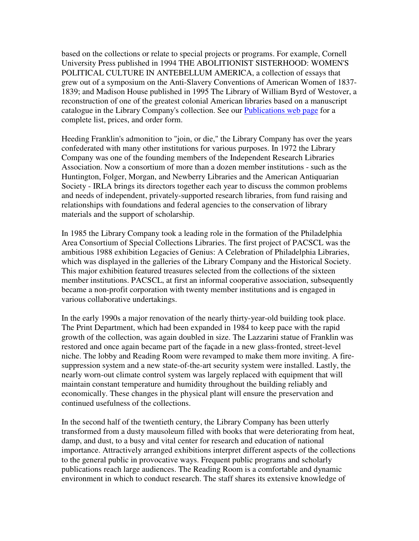based on the collections or relate to special projects or programs. For example, Cornell University Press published in 1994 THE ABOLITIONIST SISTERHOOD: WOMEN'S POLITICAL CULTURE IN ANTEBELLUM AMERICA, a collection of essays that grew out of a symposium on the Anti-Slavery Conventions of American Women of 1837- 1839; and Madison House published in 1995 The Library of William Byrd of Westover, a reconstruction of one of the greatest colonial American libraries based on a manuscript catalogue in the Library Company's collection. See our Publications web page for a complete list, prices, and order form.

Heeding Franklin's admonition to "join, or die," the Library Company has over the years confederated with many other institutions for various purposes. In 1972 the Library Company was one of the founding members of the Independent Research Libraries Association. Now a consortium of more than a dozen member institutions - such as the Huntington, Folger, Morgan, and Newberry Libraries and the American Antiquarian Society - IRLA brings its directors together each year to discuss the common problems and needs of independent, privately-supported research libraries, from fund raising and relationships with foundations and federal agencies to the conservation of library materials and the support of scholarship.

In 1985 the Library Company took a leading role in the formation of the Philadelphia Area Consortium of Special Collections Libraries. The first project of PACSCL was the ambitious 1988 exhibition Legacies of Genius: A Celebration of Philadelphia Libraries, which was displayed in the galleries of the Library Company and the Historical Society. This major exhibition featured treasures selected from the collections of the sixteen member institutions. PACSCL, at first an informal cooperative association, subsequently became a non-profit corporation with twenty member institutions and is engaged in various collaborative undertakings.

In the early 1990s a major renovation of the nearly thirty-year-old building took place. The Print Department, which had been expanded in 1984 to keep pace with the rapid growth of the collection, was again doubled in size. The Lazzarini statue of Franklin was restored and once again became part of the façade in a new glass-fronted, street-level niche. The lobby and Reading Room were revamped to make them more inviting. A firesuppression system and a new state-of-the-art security system were installed. Lastly, the nearly worn-out climate control system was largely replaced with equipment that will maintain constant temperature and humidity throughout the building reliably and economically. These changes in the physical plant will ensure the preservation and continued usefulness of the collections.

In the second half of the twentieth century, the Library Company has been utterly transformed from a dusty mausoleum filled with books that were deteriorating from heat, damp, and dust, to a busy and vital center for research and education of national importance. Attractively arranged exhibitions interpret different aspects of the collections to the general public in provocative ways. Frequent public programs and scholarly publications reach large audiences. The Reading Room is a comfortable and dynamic environment in which to conduct research. The staff shares its extensive knowledge of